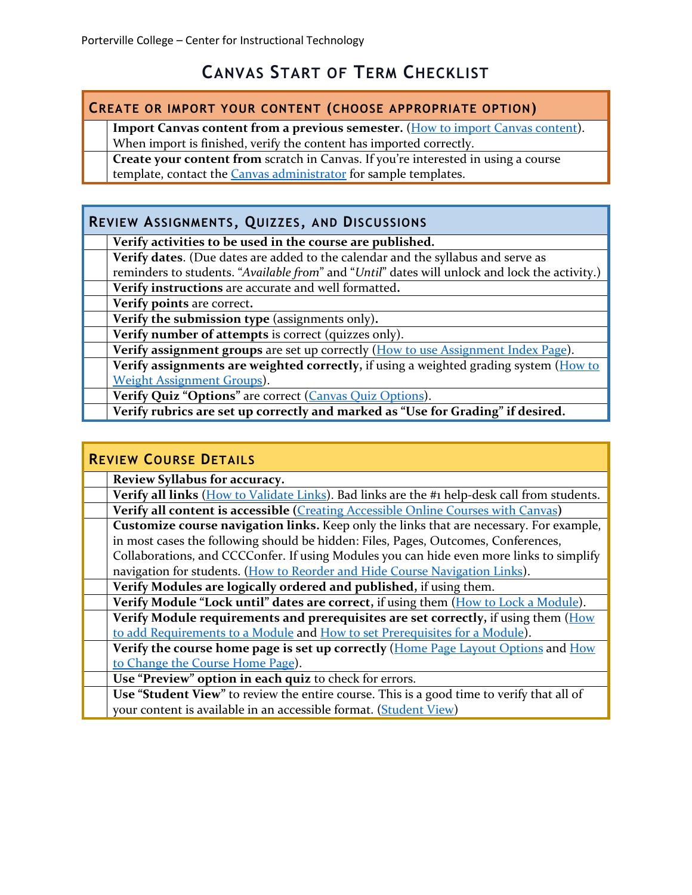# **CANVAS START OF TERM CHECKLIST**

### **CREATE OR IMPORT YOUR CONTENT (CHOOSE APPROPRIATE OPTION)**

**Import Canvas content from a previous semester.** [\(How to import Canvas content\)](https://community.canvaslms.com/docs/DOC-2685).

When import is finished, verify the content has imported correctly.

**Create your content from** scratch in Canvas. If you're interested in using a course template, contact the [Canvas administrator](mailto:sphinney@portervillecollege.edu?subject=Moodle%20to%20Canvas%20course%20copy%20request) for sample templates.

## **REVIEW ASSIGNMENTS, QUIZZES, AND DISCUSSIONS**

**Verify activities to be used in the course are published.** 

**Verify dates**. (Due dates are added to the calendar and the syllabus and serve as

reminders to students. "*Available from*" and "*Until*" dates will unlock and lock the activity.)

**Verify instructions** are accurate and well formatted**.**

**Verify points** are correct**.**

**Verify the submission type** (assignments only)**.**

**Verify number of attempts** is correct (quizzes only).

**Verify assignment groups** are set up correctly [\(How to use Assignment Index Page\)](https://community.canvaslms.com/docs/DOC-2615).

**Verify assignments are weighted correctly,** if using a weighted grading system (How to [Weight Assignment Groups\)](https://community.canvaslms.com/docs/DOC-2625).

**Verify Quiz "Options"** are correct [\(Canvas Quiz Options\)](https://community.canvaslms.com/docs/DOC-2895).

**Verify rubrics are set up correctly and marked as "Use for Grading" if desired.**

#### **REVIEW COURSE DETAILS Review Syllabus for accuracy. Verify all links** [\(How to Validate Links\)](https://community.canvaslms.com/docs/DOC-5626). Bad links are the #1 help-desk call from students. **Verify all content is accessible (**[Creating Accessible Online Courses with Canvas](https://ccconlineed.instructure.com/courses/297)**) Customize course navigation links.** Keep only the links that are necessary. For example, in most cases the following should be hidden: Files, Pages, Outcomes, Conferences, Collaborations, and CCCConfer. If using Modules you can hide even more links to simplify navigation for students. [\(How to Reorder and Hide Course Navigation Links\)](https://community.canvaslms.com/docs/DOC-2555). **Verify Modules are logically ordered and published,** if using them. **Verify Module "Lock until" dates are correct,** if using them [\(How to Lock a Module\)](https://community.canvaslms.com/docs/DOC-2853). **Verify Module requirements and prerequisites are set correctly,** if using them [\(How](https://community.canvaslms.com/docs/DOC-2862)  [to add Requirements to a Module](https://community.canvaslms.com/docs/DOC-2862) and [How to set Prerequisites for a Module\)](https://community.canvaslms.com/docs/DOC-2861). **Verify the course home page is set up correctly** [\(Home Page Layout Options](https://community.canvaslms.com/docs/DOC-2681) and [How](https://community.canvaslms.com/docs/DOC-2554)  [to Change the Course Home Page\)](https://community.canvaslms.com/docs/DOC-2554). **Use "Preview" option in each quiz** to check for errors. **Use "Student View"** to review the entire course. This is a good time to verify that all of

your content is available in an accessible format. [\(Student View\)](https://community.canvaslms.com/docs/DOC-2978)